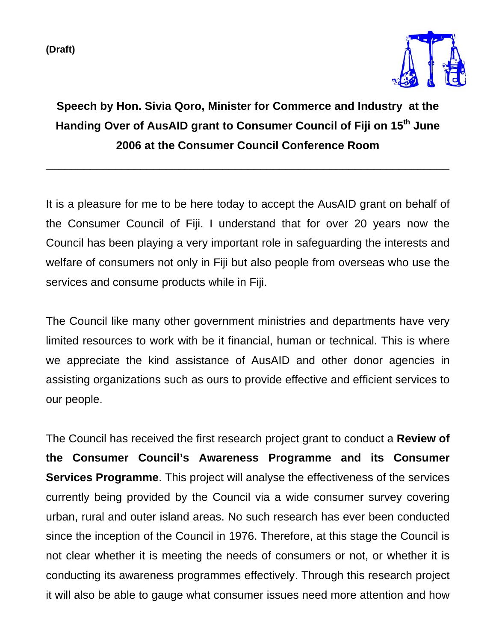**(Draft)** 



## **Speech by Hon. Sivia Qoro, Minister for Commerce and Industry at the Handing Over of AusAID grant to Consumer Council of Fiji on 15th June 2006 at the Consumer Council Conference Room**

**\_\_\_\_\_\_\_\_\_\_\_\_\_\_\_\_\_\_\_\_\_\_\_\_\_\_\_\_\_\_\_\_\_\_\_\_\_\_\_\_\_\_\_\_\_\_\_\_\_\_\_\_\_\_\_\_\_\_\_\_\_\_\_\_** 

It is a pleasure for me to be here today to accept the AusAID grant on behalf of the Consumer Council of Fiji. I understand that for over 20 years now the Council has been playing a very important role in safeguarding the interests and welfare of consumers not only in Fiji but also people from overseas who use the services and consume products while in Fiji.

The Council like many other government ministries and departments have very limited resources to work with be it financial, human or technical. This is where we appreciate the kind assistance of AusAID and other donor agencies in assisting organizations such as ours to provide effective and efficient services to our people.

The Council has received the first research project grant to conduct a **Review of the Consumer Council's Awareness Programme and its Consumer Services Programme**. This project will analyse the effectiveness of the services currently being provided by the Council via a wide consumer survey covering urban, rural and outer island areas. No such research has ever been conducted since the inception of the Council in 1976. Therefore, at this stage the Council is not clear whether it is meeting the needs of consumers or not, or whether it is conducting its awareness programmes effectively. Through this research project it will also be able to gauge what consumer issues need more attention and how